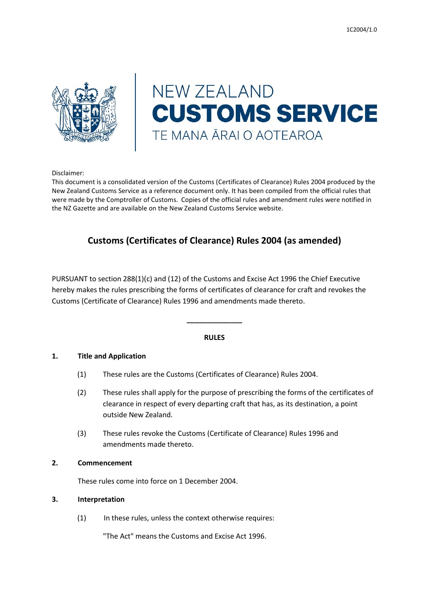

# **NEW ZEALAND CUSTOMS SERVICE** TE MANA ĀRAI O AOTEAROA

Disclaimer:

This document is a consolidated version of the Customs (Certificates of Clearance) Rules 2004 produced by the New Zealand Customs Service as a reference document only. It has been compiled from the official rules that were made by the Comptroller of Customs. Copies of the official rules and amendment rules were notified in the NZ Gazette and are available on the New Zealand Customs Service website.

## **Customs (Certificates of Clearance) Rules 2004 (as amended)**

PURSUANT to section 288(1)(c) and (12) of the Customs and Excise Act 1996 the Chief Executive hereby makes the rules prescribing the forms of certificates of clearance for craft and revokes the Customs (Certificate of Clearance) Rules 1996 and amendments made thereto.

#### **RULES**

**\_\_\_\_\_\_\_\_\_\_\_\_\_\_**

#### **1. Title and Application**

- (1) These rules are the Customs (Certificates of Clearance) Rules 2004.
- (2) These rules shall apply for the purpose of prescribing the forms of the certificates of clearance in respect of every departing craft that has, as its destination, a point outside New Zealand.
- (3) These rules revoke the Customs (Certificate of Clearance) Rules 1996 and amendments made thereto.

#### **2. Commencement**

These rules come into force on 1 December 2004.

#### **3. Interpretation**

(1) In these rules, unless the context otherwise requires:

"The Act" means the Customs and Excise Act 1996.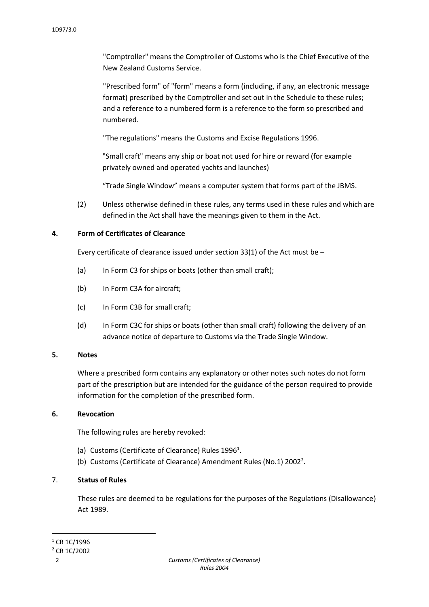"Comptroller" means the Comptroller of Customs who is the Chief Executive of the New Zealand Customs Service.

"Prescribed form" of "form" means a form (including, if any, an electronic message format) prescribed by the Comptroller and set out in the Schedule to these rules; and a reference to a numbered form is a reference to the form so prescribed and numbered.

"The regulations" means the Customs and Excise Regulations 1996.

"Small craft" means any ship or boat not used for hire or reward (for example privately owned and operated yachts and launches)

"Trade Single Window" means a computer system that forms part of the JBMS.

(2) Unless otherwise defined in these rules, any terms used in these rules and which are defined in the Act shall have the meanings given to them in the Act.

#### **4. Form of Certificates of Clearance**

Every certificate of clearance issued under section 33(1) of the Act must be –

- (a) In Form C3 for ships or boats (other than small craft);
- (b) In Form C3A for aircraft;
- (c) In Form C3B for small craft;
- (d) In Form C3C for ships or boats (other than small craft) following the delivery of an advance notice of departure to Customs via the Trade Single Window.

#### **5. Notes**

Where a prescribed form contains any explanatory or other notes such notes do not form part of the prescription but are intended for the guidance of the person required to provide information for the completion of the prescribed form.

#### **6. Revocation**

The following rules are hereby revoked:

- (a) Customs (Certificate of Clearance) Rules  $1996^1$ .
- (b) Customs (Certificate of Clearance) Amendment Rules (No.1) 2002<sup>2</sup>.

#### 7. **Status of Rules**

These rules are deemed to be regulations for the purposes of the Regulations (Disallowance) Act 1989.

1

 $1$  CR 1C/1996

<sup>2</sup> CR 1C/2002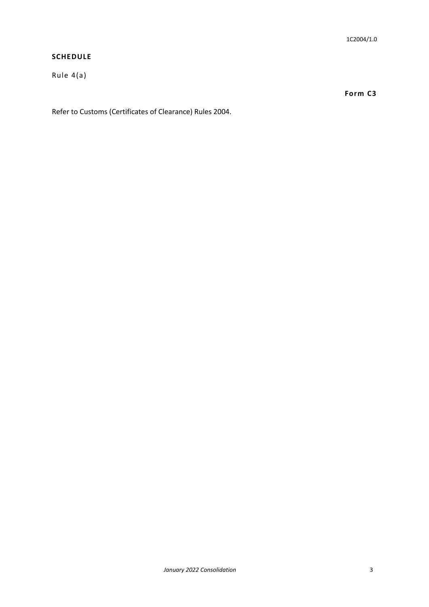#### **SCHEDULE**

Rule 4(a)

**Form C3**

Refer to Customs (Certificates of Clearance) Rules 2004.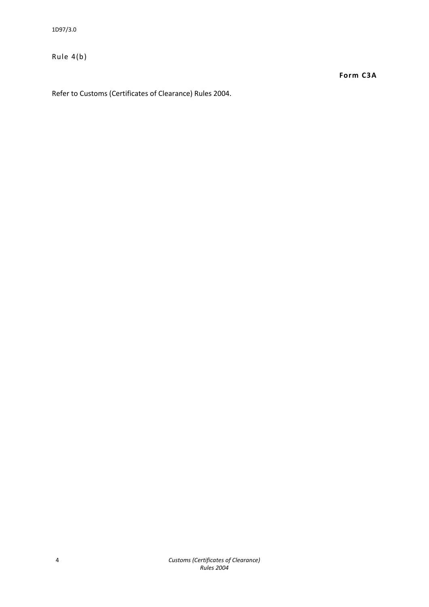Rule 4(b)

**Form C3A**

Refer to Customs (Certificates of Clearance) Rules 2004.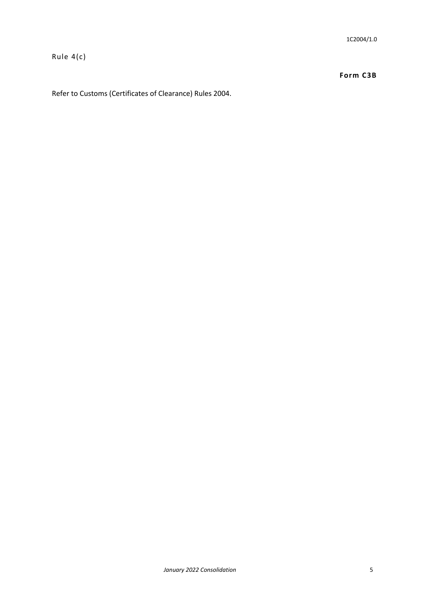Rule 4(c)

#### **Form C3B**

Refer to Customs (Certificates of Clearance) Rules 2004.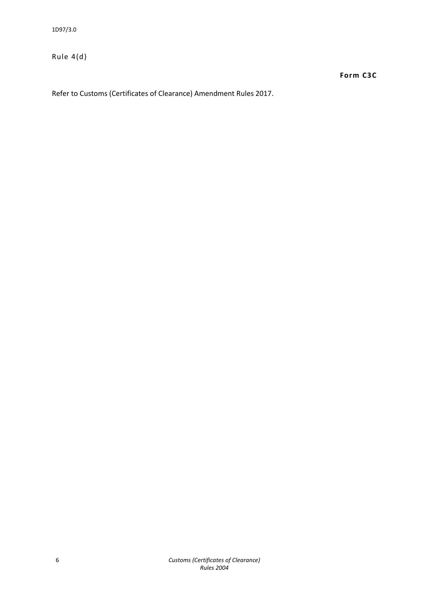Rule 4(d)

**Form C3C**

Refer to Customs (Certificates of Clearance) Amendment Rules 2017.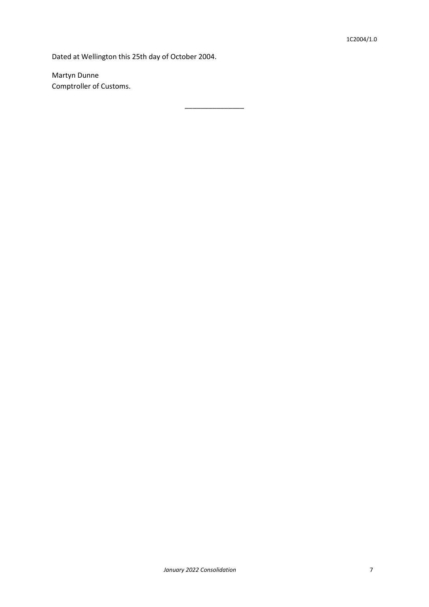Dated at Wellington this 25th day of October 2004.

\_\_\_\_\_\_\_\_\_\_\_\_\_\_\_

Martyn Dunne Comptroller of Customs.